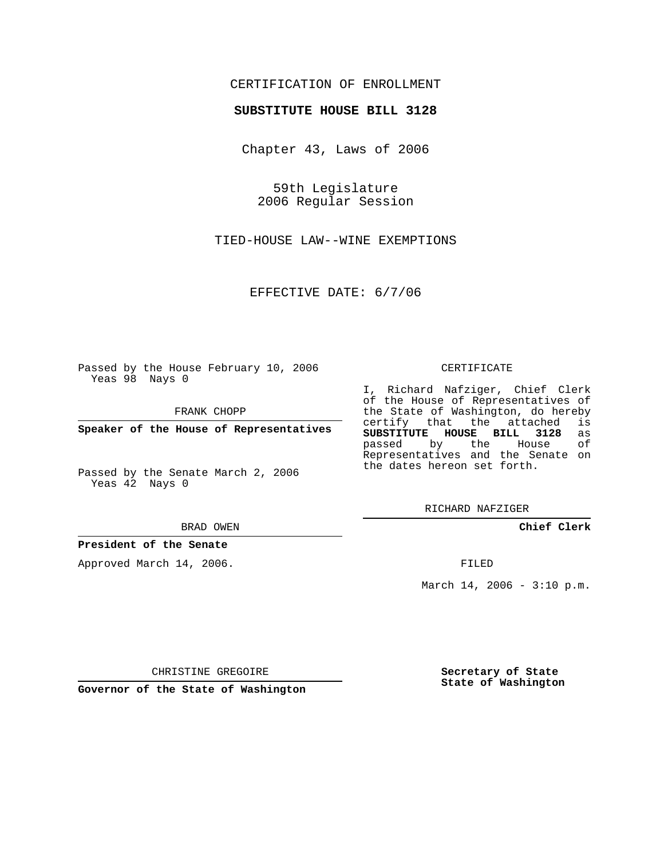## CERTIFICATION OF ENROLLMENT

#### **SUBSTITUTE HOUSE BILL 3128**

Chapter 43, Laws of 2006

59th Legislature 2006 Regular Session

TIED-HOUSE LAW--WINE EXEMPTIONS

EFFECTIVE DATE: 6/7/06

Passed by the House February 10, 2006 Yeas 98 Nays 0

FRANK CHOPP

**Speaker of the House of Representatives**

Passed by the Senate March 2, 2006 Yeas 42 Nays 0

BRAD OWEN

### **President of the Senate**

Approved March 14, 2006.

CERTIFICATE

I, Richard Nafziger, Chief Clerk of the House of Representatives of the State of Washington, do hereby<br>certify that the attached is certify that the attached **SUBSTITUTE HOUSE BILL 3128** as passed by the Representatives and the Senate on the dates hereon set forth.

RICHARD NAFZIGER

**Chief Clerk**

FILED

March 14, 2006 -  $3:10$  p.m.

CHRISTINE GREGOIRE

**Governor of the State of Washington**

**Secretary of State State of Washington**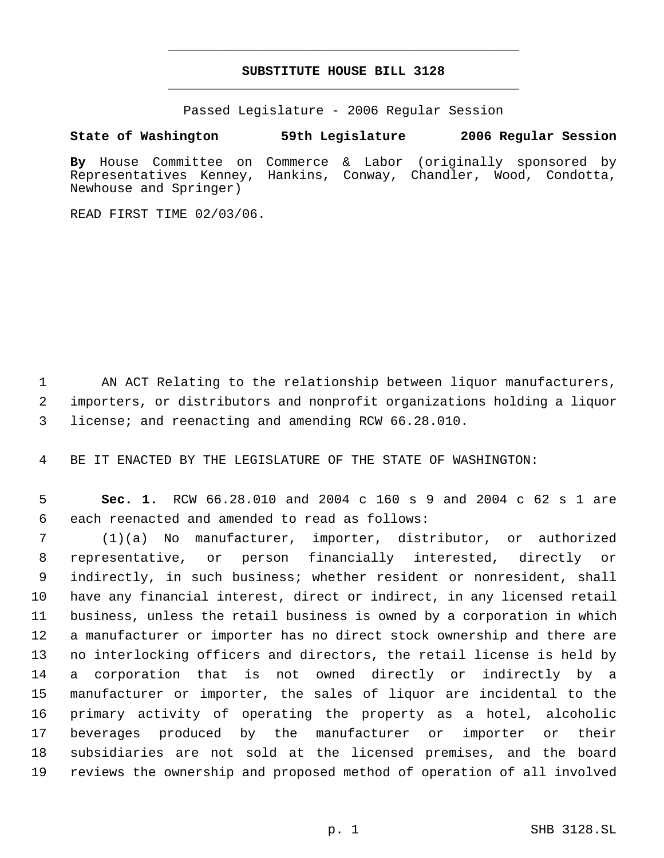# **SUBSTITUTE HOUSE BILL 3128** \_\_\_\_\_\_\_\_\_\_\_\_\_\_\_\_\_\_\_\_\_\_\_\_\_\_\_\_\_\_\_\_\_\_\_\_\_\_\_\_\_\_\_\_\_

\_\_\_\_\_\_\_\_\_\_\_\_\_\_\_\_\_\_\_\_\_\_\_\_\_\_\_\_\_\_\_\_\_\_\_\_\_\_\_\_\_\_\_\_\_

Passed Legislature - 2006 Regular Session

### **State of Washington 59th Legislature 2006 Regular Session**

**By** House Committee on Commerce & Labor (originally sponsored by Representatives Kenney, Hankins, Conway, Chandler, Wood, Condotta, Newhouse and Springer)

READ FIRST TIME 02/03/06.

 AN ACT Relating to the relationship between liquor manufacturers, importers, or distributors and nonprofit organizations holding a liquor license; and reenacting and amending RCW 66.28.010.

BE IT ENACTED BY THE LEGISLATURE OF THE STATE OF WASHINGTON:

 **Sec. 1.** RCW 66.28.010 and 2004 c 160 s 9 and 2004 c 62 s 1 are each reenacted and amended to read as follows:

 (1)(a) No manufacturer, importer, distributor, or authorized representative, or person financially interested, directly or indirectly, in such business; whether resident or nonresident, shall have any financial interest, direct or indirect, in any licensed retail business, unless the retail business is owned by a corporation in which a manufacturer or importer has no direct stock ownership and there are no interlocking officers and directors, the retail license is held by a corporation that is not owned directly or indirectly by a manufacturer or importer, the sales of liquor are incidental to the primary activity of operating the property as a hotel, alcoholic beverages produced by the manufacturer or importer or their subsidiaries are not sold at the licensed premises, and the board reviews the ownership and proposed method of operation of all involved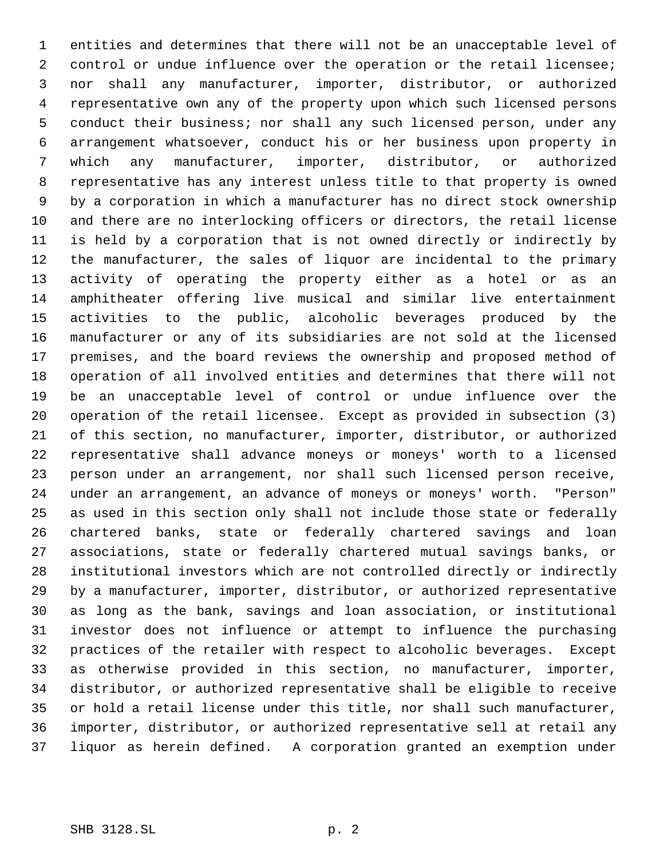entities and determines that there will not be an unacceptable level of control or undue influence over the operation or the retail licensee; nor shall any manufacturer, importer, distributor, or authorized representative own any of the property upon which such licensed persons conduct their business; nor shall any such licensed person, under any arrangement whatsoever, conduct his or her business upon property in which any manufacturer, importer, distributor, or authorized representative has any interest unless title to that property is owned by a corporation in which a manufacturer has no direct stock ownership and there are no interlocking officers or directors, the retail license is held by a corporation that is not owned directly or indirectly by the manufacturer, the sales of liquor are incidental to the primary activity of operating the property either as a hotel or as an amphitheater offering live musical and similar live entertainment activities to the public, alcoholic beverages produced by the manufacturer or any of its subsidiaries are not sold at the licensed premises, and the board reviews the ownership and proposed method of operation of all involved entities and determines that there will not be an unacceptable level of control or undue influence over the operation of the retail licensee. Except as provided in subsection (3) of this section, no manufacturer, importer, distributor, or authorized representative shall advance moneys or moneys' worth to a licensed person under an arrangement, nor shall such licensed person receive, under an arrangement, an advance of moneys or moneys' worth. "Person" as used in this section only shall not include those state or federally chartered banks, state or federally chartered savings and loan associations, state or federally chartered mutual savings banks, or institutional investors which are not controlled directly or indirectly by a manufacturer, importer, distributor, or authorized representative as long as the bank, savings and loan association, or institutional investor does not influence or attempt to influence the purchasing practices of the retailer with respect to alcoholic beverages. Except as otherwise provided in this section, no manufacturer, importer, distributor, or authorized representative shall be eligible to receive or hold a retail license under this title, nor shall such manufacturer, importer, distributor, or authorized representative sell at retail any liquor as herein defined. A corporation granted an exemption under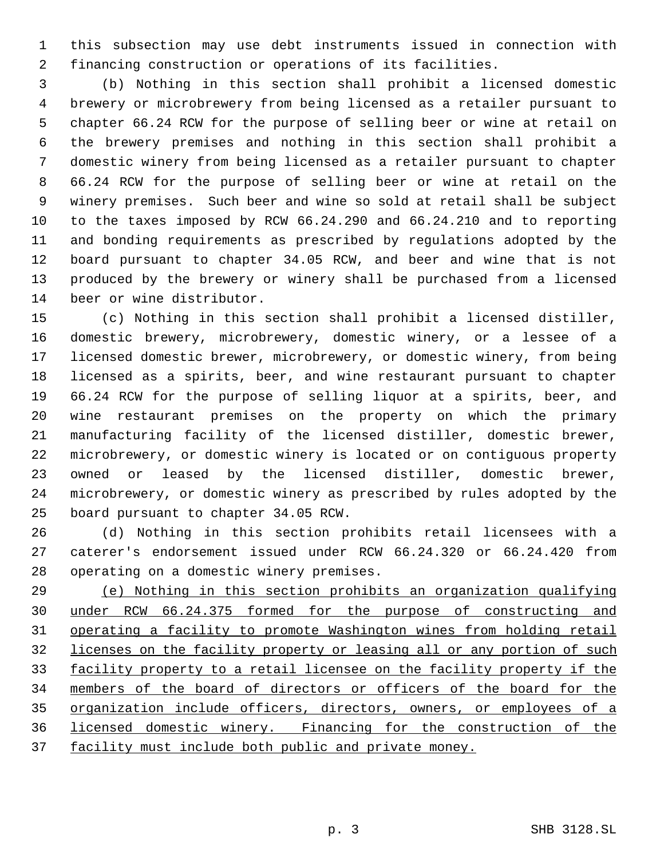this subsection may use debt instruments issued in connection with financing construction or operations of its facilities.

 (b) Nothing in this section shall prohibit a licensed domestic brewery or microbrewery from being licensed as a retailer pursuant to chapter 66.24 RCW for the purpose of selling beer or wine at retail on the brewery premises and nothing in this section shall prohibit a domestic winery from being licensed as a retailer pursuant to chapter 66.24 RCW for the purpose of selling beer or wine at retail on the winery premises. Such beer and wine so sold at retail shall be subject to the taxes imposed by RCW 66.24.290 and 66.24.210 and to reporting and bonding requirements as prescribed by regulations adopted by the board pursuant to chapter 34.05 RCW, and beer and wine that is not produced by the brewery or winery shall be purchased from a licensed beer or wine distributor.

 (c) Nothing in this section shall prohibit a licensed distiller, domestic brewery, microbrewery, domestic winery, or a lessee of a licensed domestic brewer, microbrewery, or domestic winery, from being licensed as a spirits, beer, and wine restaurant pursuant to chapter 66.24 RCW for the purpose of selling liquor at a spirits, beer, and wine restaurant premises on the property on which the primary manufacturing facility of the licensed distiller, domestic brewer, microbrewery, or domestic winery is located or on contiguous property owned or leased by the licensed distiller, domestic brewer, microbrewery, or domestic winery as prescribed by rules adopted by the board pursuant to chapter 34.05 RCW.

 (d) Nothing in this section prohibits retail licensees with a caterer's endorsement issued under RCW 66.24.320 or 66.24.420 from operating on a domestic winery premises.

 (e) Nothing in this section prohibits an organization qualifying under RCW 66.24.375 formed for the purpose of constructing and operating a facility to promote Washington wines from holding retail 32 licenses on the facility property or leasing all or any portion of such facility property to a retail licensee on the facility property if the members of the board of directors or officers of the board for the organization include officers, directors, owners, or employees of a licensed domestic winery. Financing for the construction of the 37 facility must include both public and private money.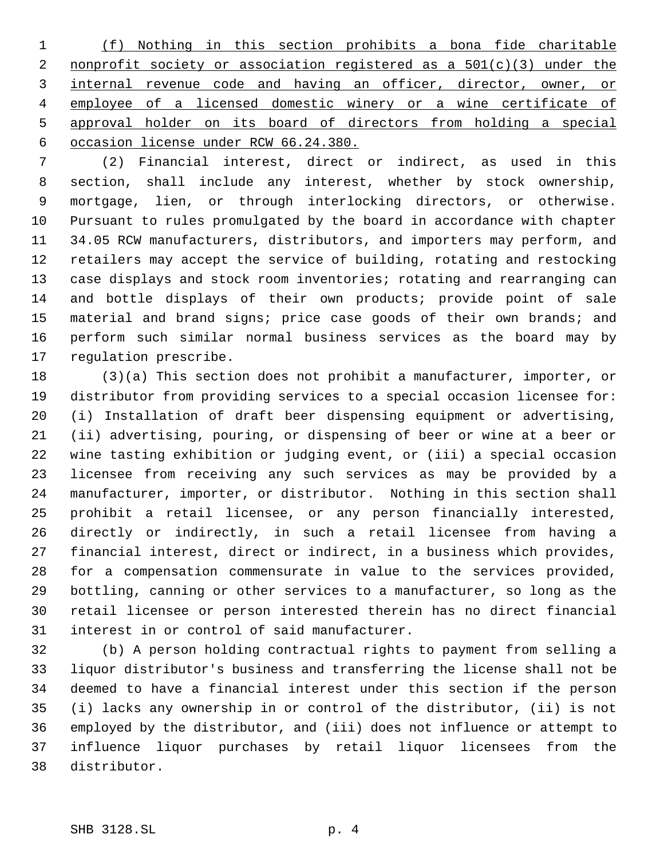(f) Nothing in this section prohibits a bona fide charitable 2 nonprofit society or association registered as a  $501(c)(3)$  under the internal revenue code and having an officer, director, owner, or employee of a licensed domestic winery or a wine certificate of approval holder on its board of directors from holding a special occasion license under RCW 66.24.380.

 (2) Financial interest, direct or indirect, as used in this section, shall include any interest, whether by stock ownership, mortgage, lien, or through interlocking directors, or otherwise. Pursuant to rules promulgated by the board in accordance with chapter 34.05 RCW manufacturers, distributors, and importers may perform, and retailers may accept the service of building, rotating and restocking case displays and stock room inventories; rotating and rearranging can and bottle displays of their own products; provide point of sale material and brand signs; price case goods of their own brands; and perform such similar normal business services as the board may by regulation prescribe.

 (3)(a) This section does not prohibit a manufacturer, importer, or distributor from providing services to a special occasion licensee for: (i) Installation of draft beer dispensing equipment or advertising, (ii) advertising, pouring, or dispensing of beer or wine at a beer or wine tasting exhibition or judging event, or (iii) a special occasion licensee from receiving any such services as may be provided by a manufacturer, importer, or distributor. Nothing in this section shall prohibit a retail licensee, or any person financially interested, directly or indirectly, in such a retail licensee from having a financial interest, direct or indirect, in a business which provides, for a compensation commensurate in value to the services provided, bottling, canning or other services to a manufacturer, so long as the retail licensee or person interested therein has no direct financial interest in or control of said manufacturer.

 (b) A person holding contractual rights to payment from selling a liquor distributor's business and transferring the license shall not be deemed to have a financial interest under this section if the person (i) lacks any ownership in or control of the distributor, (ii) is not employed by the distributor, and (iii) does not influence or attempt to influence liquor purchases by retail liquor licensees from the distributor.